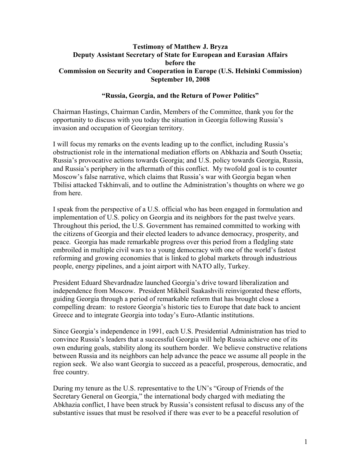#### **Testimony of Matthew J. Bryza Deputy Assistant Secretary of State for European and Eurasian Affairs before the Commission on Security and Cooperation in Europe (U.S. Helsinki Commission) September 10, 2008**

## **"Russia, Georgia, and the Return of Power Politics"**

Chairman Hastings, Chairman Cardin, Members of the Committee, thank you for the opportunity to discuss with you today the situation in Georgia following Russia's invasion and occupation of Georgian territory.

I will focus my remarks on the events leading up to the conflict, including Russia's obstructionist role in the international mediation efforts on Abkhazia and South Ossetia; Russia's provocative actions towards Georgia; and U.S. policy towards Georgia, Russia, and Russia's periphery in the aftermath of this conflict. My twofold goal is to counter Moscow's false narrative, which claims that Russia's war with Georgia began when Tbilisi attacked Tskhinvali, and to outline the Administration's thoughts on where we go from here.

I speak from the perspective of a U.S. official who has been engaged in formulation and implementation of U.S. policy on Georgia and its neighbors for the past twelve years. Throughout this period, the U.S. Government has remained committed to working with the citizens of Georgia and their elected leaders to advance democracy, prosperity, and peace. Georgia has made remarkable progress over this period from a fledgling state embroiled in multiple civil wars to a young democracy with one of the world's fastest reforming and growing economies that is linked to global markets through industrious people, energy pipelines, and a joint airport with NATO ally, Turkey.

President Eduard Shevardnadze launched Georgia's drive toward liberalization and independence from Moscow. President Mikheil Saakashvili reinvigorated these efforts, guiding Georgia through a period of remarkable reform that has brought close a compelling dream: to restore Georgia's historic ties to Europe that date back to ancient Greece and to integrate Georgia into today's Euro-Atlantic institutions.

Since Georgia's independence in 1991, each U.S. Presidential Administration has tried to convince Russia's leaders that a successful Georgia will help Russia achieve one of its own enduring goals, stability along its southern border. We believe constructive relations between Russia and its neighbors can help advance the peace we assume all people in the region seek. We also want Georgia to succeed as a peaceful, prosperous, democratic, and free country.

During my tenure as the U.S. representative to the UN's "Group of Friends of the Secretary General on Georgia," the international body charged with mediating the Abkhazia conflict, I have been struck by Russia's consistent refusal to discuss any of the substantive issues that must be resolved if there was ever to be a peaceful resolution of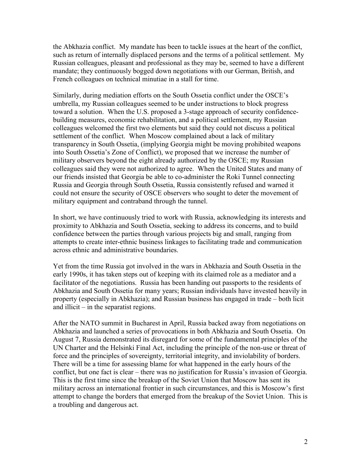the Abkhazia conflict. My mandate has been to tackle issues at the heart of the conflict, such as return of internally displaced persons and the terms of a political settlement. My Russian colleagues, pleasant and professional as they may be, seemed to have a different mandate; they continuously bogged down negotiations with our German, British, and French colleagues on technical minutiae in a stall for time.

Similarly, during mediation efforts on the South Ossetia conflict under the OSCE's umbrella, my Russian colleagues seemed to be under instructions to block progress toward a solution. When the U.S. proposed a 3-stage approach of security confidencebuilding measures, economic rehabilitation, and a political settlement, my Russian colleagues welcomed the first two elements but said they could not discuss a political settlement of the conflict. When Moscow complained about a lack of military transparency in South Ossetia, (implying Georgia might be moving prohibited weapons into South Ossetia's Zone of Conflict), we proposed that we increase the number of military observers beyond the eight already authorized by the OSCE; my Russian colleagues said they were not authorized to agree. When the United States and many of our friends insisted that Georgia be able to co-administer the Roki Tunnel connecting Russia and Georgia through South Ossetia, Russia consistently refused and warned it could not ensure the security of OSCE observers who sought to deter the movement of military equipment and contraband through the tunnel.

In short, we have continuously tried to work with Russia, acknowledging its interests and proximity to Abkhazia and South Ossetia, seeking to address its concerns, and to build confidence between the parties through various projects big and small, ranging from attempts to create inter-ethnic business linkages to facilitating trade and communication across ethnic and administrative boundaries.

Yet from the time Russia got involved in the wars in Abkhazia and South Ossetia in the early 1990s, it has taken steps out of keeping with its claimed role as a mediator and a facilitator of the negotiations. Russia has been handing out passports to the residents of Abkhazia and South Ossetia for many years; Russian individuals have invested heavily in property (especially in Abkhazia); and Russian business has engaged in trade – both licit and illicit – in the separatist regions.

After the NATO summit in Bucharest in April, Russia backed away from negotiations on Abkhazia and launched a series of provocations in both Abkhazia and South Ossetia. On August 7, Russia demonstrated its disregard for some of the fundamental principles of the UN Charter and the Helsinki Final Act, including the principle of the non-use or threat of force and the principles of sovereignty, territorial integrity, and inviolability of borders. There will be a time for assessing blame for what happened in the early hours of the conflict, but one fact is clear – there was no justification for Russia's invasion of Georgia. This is the first time since the breakup of the Soviet Union that Moscow has sent its military across an international frontier in such circumstances, and this is Moscow's first attempt to change the borders that emerged from the breakup of the Soviet Union. This is a troubling and dangerous act.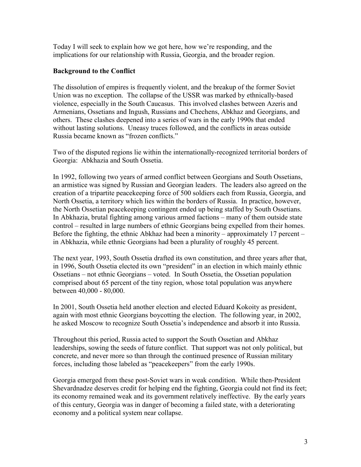Today I will seek to explain how we got here, how we're responding, and the implications for our relationship with Russia, Georgia, and the broader region.

## **Background to the Conflict**

The dissolution of empires is frequently violent, and the breakup of the former Soviet Union was no exception. The collapse of the USSR was marked by ethnically-based violence, especially in the South Caucasus. This involved clashes between Azeris and Armenians, Ossetians and Ingush, Russians and Chechens, Abkhaz and Georgians, and others. These clashes deepened into a series of wars in the early 1990s that ended without lasting solutions. Uneasy truces followed, and the conflicts in areas outside Russia became known as "frozen conflicts."

Two of the disputed regions lie within the internationally-recognized territorial borders of Georgia: Abkhazia and South Ossetia.

In 1992, following two years of armed conflict between Georgians and South Ossetians, an armistice was signed by Russian and Georgian leaders. The leaders also agreed on the creation of a tripartite peacekeeping force of 500 soldiers each from Russia, Georgia, and North Ossetia, a territory which lies within the borders of Russia. In practice, however, the North Ossetian peacekeeping contingent ended up being staffed by South Ossetians. In Abkhazia, brutal fighting among various armed factions – many of them outside state control – resulted in large numbers of ethnic Georgians being expelled from their homes. Before the fighting, the ethnic Abkhaz had been a minority – approximately 17 percent – in Abkhazia, while ethnic Georgians had been a plurality of roughly 45 percent.

The next year, 1993, South Ossetia drafted its own constitution, and three years after that, in 1996, South Ossetia elected its own "president" in an election in which mainly ethnic Ossetians – not ethnic Georgians – voted. In South Ossetia, the Ossetian population comprised about 65 percent of the tiny region, whose total population was anywhere between 40,000 - 80,000.

In 2001, South Ossetia held another election and elected Eduard Kokoity as president, again with most ethnic Georgians boycotting the election. The following year, in 2002, he asked Moscow to recognize South Ossetia's independence and absorb it into Russia.

Throughout this period, Russia acted to support the South Ossetian and Abkhaz leaderships, sowing the seeds of future conflict. That support was not only political, but concrete, and never more so than through the continued presence of Russian military forces, including those labeled as "peacekeepers" from the early 1990s.

Georgia emerged from these post-Soviet wars in weak condition. While then-President Shevardnadze deserves credit for helping end the fighting, Georgia could not find its feet; its economy remained weak and its government relatively ineffective. By the early years of this century, Georgia was in danger of becoming a failed state, with a deteriorating economy and a political system near collapse.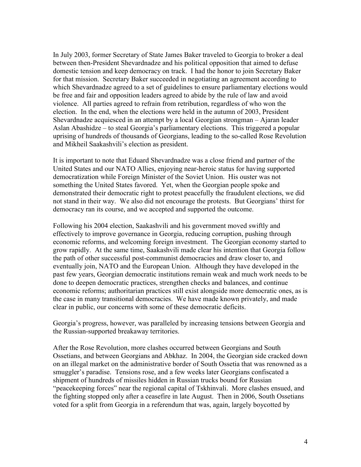In July 2003, former Secretary of State James Baker traveled to Georgia to broker a deal between then-President Shevardnadze and his political opposition that aimed to defuse domestic tension and keep democracy on track. I had the honor to join Secretary Baker for that mission. Secretary Baker succeeded in negotiating an agreement according to which Shevardnadze agreed to a set of guidelines to ensure parliamentary elections would be free and fair and opposition leaders agreed to abide by the rule of law and avoid violence. All parties agreed to refrain from retribution, regardless of who won the election. In the end, when the elections were held in the autumn of 2003, President Shevardnadze acquiesced in an attempt by a local Georgian strongman – Ajaran leader Aslan Abashidze – to steal Georgia's parliamentary elections. This triggered a popular uprising of hundreds of thousands of Georgians, leading to the so-called Rose Revolution and Mikheil Saakashvili's election as president.

It is important to note that Eduard Shevardnadze was a close friend and partner of the United States and our NATO Allies, enjoying near-heroic status for having supported democratization while Foreign Minister of the Soviet Union. His ouster was not something the United States favored. Yet, when the Georgian people spoke and demonstrated their democratic right to protest peacefully the fraudulent elections, we did not stand in their way. We also did not encourage the protests. But Georgians' thirst for democracy ran its course, and we accepted and supported the outcome.

Following his 2004 election, Saakashvili and his government moved swiftly and effectively to improve governance in Georgia, reducing corruption, pushing through economic reforms, and welcoming foreign investment. The Georgian economy started to grow rapidly. At the same time, Saakashvili made clear his intention that Georgia follow the path of other successful post-communist democracies and draw closer to, and eventually join, NATO and the European Union. Although they have developed in the past few years, Georgian democratic institutions remain weak and much work needs to be done to deepen democratic practices, strengthen checks and balances, and continue economic reforms; authoritarian practices still exist alongside more democratic ones, as is the case in many transitional democracies. We have made known privately, and made clear in public, our concerns with some of these democratic deficits.

Georgia's progress, however, was paralleled by increasing tensions between Georgia and the Russian-supported breakaway territories.

After the Rose Revolution, more clashes occurred between Georgians and South Ossetians, and between Georgians and Abkhaz. In 2004, the Georgian side cracked down on an illegal market on the administrative border of South Ossetia that was renowned as a smuggler's paradise. Tensions rose, and a few weeks later Georgians confiscated a shipment of hundreds of missiles hidden in Russian trucks bound for Russian "peacekeeping forces" near the regional capital of Tskhinvali. More clashes ensued, and the fighting stopped only after a ceasefire in late August. Then in 2006, South Ossetians voted for a split from Georgia in a referendum that was, again, largely boycotted by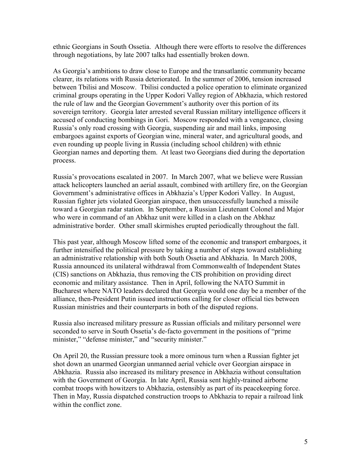ethnic Georgians in South Ossetia. Although there were efforts to resolve the differences through negotiations, by late 2007 talks had essentially broken down.

As Georgia's ambitions to draw close to Europe and the transatlantic community became clearer, its relations with Russia deteriorated. In the summer of 2006, tension increased between Tbilisi and Moscow. Tbilisi conducted a police operation to eliminate organized criminal groups operating in the Upper Kodori Valley region of Abkhazia, which restored the rule of law and the Georgian Government's authority over this portion of its sovereign territory. Georgia later arrested several Russian military intelligence officers it accused of conducting bombings in Gori. Moscow responded with a vengeance, closing Russia's only road crossing with Georgia, suspending air and mail links, imposing embargoes against exports of Georgian wine, mineral water, and agricultural goods, and even rounding up people living in Russia (including school children) with ethnic Georgian names and deporting them. At least two Georgians died during the deportation process.

Russia's provocations escalated in 2007. In March 2007, what we believe were Russian attack helicopters launched an aerial assault, combined with artillery fire, on the Georgian Government's administrative offices in Abkhazia's Upper Kodori Valley. In August, Russian fighter jets violated Georgian airspace, then unsuccessfully launched a missile toward a Georgian radar station. In September, a Russian Lieutenant Colonel and Major who were in command of an Abkhaz unit were killed in a clash on the Abkhaz administrative border. Other small skirmishes erupted periodically throughout the fall.

This past year, although Moscow lifted some of the economic and transport embargoes, it further intensified the political pressure by taking a number of steps toward establishing an administrative relationship with both South Ossetia and Abkhazia. In March 2008, Russia announced its unilateral withdrawal from Commonwealth of Independent States (CIS) sanctions on Abkhazia, thus removing the CIS prohibition on providing direct economic and military assistance. Then in April, following the NATO Summit in Bucharest where NATO leaders declared that Georgia would one day be a member of the alliance, then-President Putin issued instructions calling for closer official ties between Russian ministries and their counterparts in both of the disputed regions.

Russia also increased military pressure as Russian officials and military personnel were seconded to serve in South Ossetia's de-facto government in the positions of "prime minister," "defense minister," and "security minister."

On April 20, the Russian pressure took a more ominous turn when a Russian fighter jet shot down an unarmed Georgian unmanned aerial vehicle over Georgian airspace in Abkhazia. Russia also increased its military presence in Abkhazia without consultation with the Government of Georgia. In late April, Russia sent highly-trained airborne combat troops with howitzers to Abkhazia, ostensibly as part of its peacekeeping force. Then in May, Russia dispatched construction troops to Abkhazia to repair a railroad link within the conflict zone.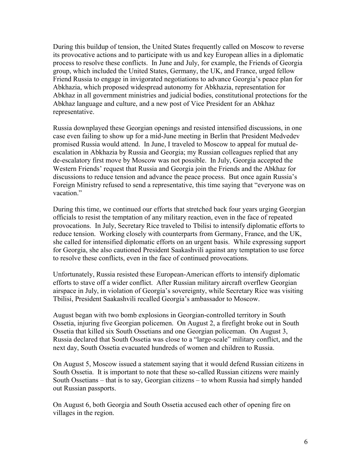During this buildup of tension, the United States frequently called on Moscow to reverse its provocative actions and to participate with us and key European allies in a diplomatic process to resolve these conflicts. In June and July, for example, the Friends of Georgia group, which included the United States, Germany, the UK, and France, urged fellow Friend Russia to engage in invigorated negotiations to advance Georgia's peace plan for Abkhazia, which proposed widespread autonomy for Abkhazia, representation for Abkhaz in all government ministries and judicial bodies, constitutional protections for the Abkhaz language and culture, and a new post of Vice President for an Abkhaz representative.

Russia downplayed these Georgian openings and resisted intensified discussions, in one case even failing to show up for a mid-June meeting in Berlin that President Medvedev promised Russia would attend. In June, I traveled to Moscow to appeal for mutual deescalation in Abkhazia by Russia and Georgia; my Russian colleagues replied that any de-escalatory first move by Moscow was not possible. In July, Georgia accepted the Western Friends' request that Russia and Georgia join the Friends and the Abkhaz for discussions to reduce tension and advance the peace process. But once again Russia's Foreign Ministry refused to send a representative, this time saying that "everyone was on vacation."

During this time, we continued our efforts that stretched back four years urging Georgian officials to resist the temptation of any military reaction, even in the face of repeated provocations. In July, Secretary Rice traveled to Tbilisi to intensify diplomatic efforts to reduce tension. Working closely with counterparts from Germany, France, and the UK, she called for intensified diplomatic efforts on an urgent basis. While expressing support for Georgia, she also cautioned President Saakashvili against any temptation to use force to resolve these conflicts, even in the face of continued provocations.

Unfortunately, Russia resisted these European-American efforts to intensify diplomatic efforts to stave off a wider conflict. After Russian military aircraft overflew Georgian airspace in July, in violation of Georgia's sovereignty, while Secretary Rice was visiting Tbilisi, President Saakashvili recalled Georgia's ambassador to Moscow.

August began with two bomb explosions in Georgian-controlled territory in South Ossetia, injuring five Georgian policemen. On August 2, a firefight broke out in South Ossetia that killed six South Ossetians and one Georgian policeman. On August 3, Russia declared that South Ossetia was close to a "large-scale" military conflict, and the next day, South Ossetia evacuated hundreds of women and children to Russia.

On August 5, Moscow issued a statement saying that it would defend Russian citizens in South Ossetia. It is important to note that these so-called Russian citizens were mainly South Ossetians – that is to say, Georgian citizens – to whom Russia had simply handed out Russian passports.

On August 6, both Georgia and South Ossetia accused each other of opening fire on villages in the region.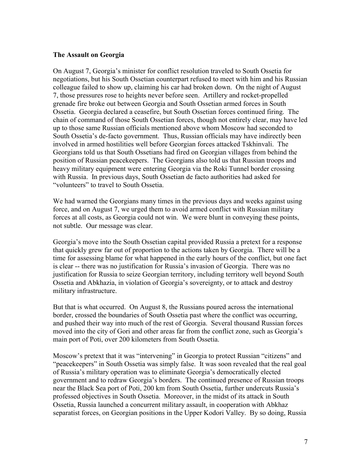#### **The Assault on Georgia**

On August 7, Georgia's minister for conflict resolution traveled to South Ossetia for negotiations, but his South Ossetian counterpart refused to meet with him and his Russian colleague failed to show up, claiming his car had broken down. On the night of August 7, those pressures rose to heights never before seen. Artillery and rocket-propelled grenade fire broke out between Georgia and South Ossetian armed forces in South Ossetia. Georgia declared a ceasefire, but South Ossetian forces continued firing. The chain of command of those South Ossetian forces, though not entirely clear, may have led up to those same Russian officials mentioned above whom Moscow had seconded to South Ossetia's de-facto government. Thus, Russian officials may have indirectly been involved in armed hostilities well before Georgian forces attacked Tskhinvali. The Georgians told us that South Ossetians had fired on Georgian villages from behind the position of Russian peacekeepers. The Georgians also told us that Russian troops and heavy military equipment were entering Georgia via the Roki Tunnel border crossing with Russia. In previous days, South Ossetian de facto authorities had asked for "volunteers" to travel to South Ossetia.

We had warned the Georgians many times in the previous days and weeks against using force, and on August 7, we urged them to avoid armed conflict with Russian military forces at all costs, as Georgia could not win. We were blunt in conveying these points, not subtle. Our message was clear.

Georgia's move into the South Ossetian capital provided Russia a pretext for a response that quickly grew far out of proportion to the actions taken by Georgia. There will be a time for assessing blame for what happened in the early hours of the conflict, but one fact is clear -- there was no justification for Russia's invasion of Georgia. There was no justification for Russia to seize Georgian territory, including territory well beyond South Ossetia and Abkhazia, in violation of Georgia's sovereignty, or to attack and destroy military infrastructure.

But that is what occurred. On August 8, the Russians poured across the international border, crossed the boundaries of South Ossetia past where the conflict was occurring, and pushed their way into much of the rest of Georgia. Several thousand Russian forces moved into the city of Gori and other areas far from the conflict zone, such as Georgia's main port of Poti, over 200 kilometers from South Ossetia.

Moscow's pretext that it was "intervening" in Georgia to protect Russian "citizens" and "peacekeepers" in South Ossetia was simply false. It was soon revealed that the real goal of Russia's military operation was to eliminate Georgia's democratically elected government and to redraw Georgia's borders. The continued presence of Russian troops near the Black Sea port of Poti, 200 km from South Ossetia, further undercuts Russia's professed objectives in South Ossetia. Moreover, in the midst of its attack in South Ossetia, Russia launched a concurrent military assault, in cooperation with Abkhaz separatist forces, on Georgian positions in the Upper Kodori Valley. By so doing, Russia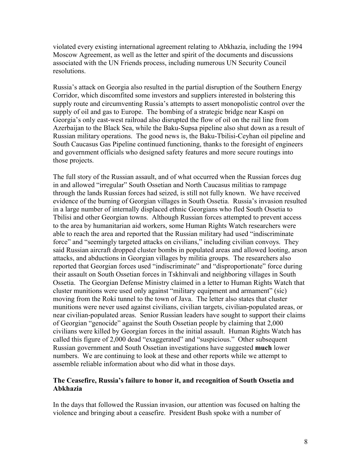violated every existing international agreement relating to Abkhazia, including the 1994 Moscow Agreement, as well as the letter and spirit of the documents and discussions associated with the UN Friends process, including numerous UN Security Council resolutions.

Russia's attack on Georgia also resulted in the partial disruption of the Southern Energy Corridor, which discomfited some investors and suppliers interested in bolstering this supply route and circumventing Russia's attempts to assert monopolistic control over the supply of oil and gas to Europe. The bombing of a strategic bridge near Kaspi on Georgia's only east-west railroad also disrupted the flow of oil on the rail line from Azerbaijan to the Black Sea, while the Baku-Supsa pipeline also shut down as a result of Russian military operations. The good news is, the Baku-Tbilisi-Ceyhan oil pipeline and South Caucasus Gas Pipeline continued functioning, thanks to the foresight of engineers and government officials who designed safety features and more secure routings into those projects.

The full story of the Russian assault, and of what occurred when the Russian forces dug in and allowed "irregular" South Ossetian and North Caucasus militias to rampage through the lands Russian forces had seized, is still not fully known. We have received evidence of the burning of Georgian villages in South Ossetia. Russia's invasion resulted in a large number of internally displaced ethnic Georgians who fled South Ossetia to Tbilisi and other Georgian towns. Although Russian forces attempted to prevent access to the area by humanitarian aid workers, some Human Rights Watch researchers were able to reach the area and reported that the Russian military had used "indiscriminate force" and "seemingly targeted attacks on civilians," including civilian convoys. They said Russian aircraft dropped cluster bombs in populated areas and allowed looting, arson attacks, and abductions in Georgian villages by militia groups. The researchers also reported that Georgian forces used "indiscriminate" and "disproportionate" force during their assault on South Ossetian forces in Tskhinvali and neighboring villages in South Ossetia. The Georgian Defense Ministry claimed in a letter to Human Rights Watch that cluster munitions were used only against "military equipment and armament" (sic) moving from the Roki tunnel to the town of Java. The letter also states that cluster munitions were never used against civilians, civilian targets, civilian-populated areas, or near civilian-populated areas. Senior Russian leaders have sought to support their claims of Georgian "genocide" against the South Ossetian people by claiming that 2,000 civilians were killed by Georgian forces in the initial assault. Human Rights Watch has called this figure of 2,000 dead "exaggerated" and "suspicious." Other subsequent Russian government and South Ossetian investigations have suggested **much** lower numbers. We are continuing to look at these and other reports while we attempt to assemble reliable information about who did what in those days.

## **The Ceasefire, Russia's failure to honor it, and recognition of South Ossetia and Abkhazia**

In the days that followed the Russian invasion, our attention was focused on halting the violence and bringing about a ceasefire. President Bush spoke with a number of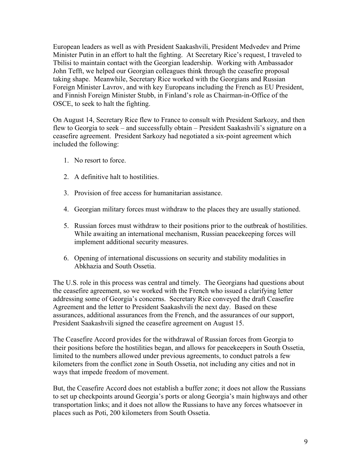European leaders as well as with President Saakashvili, President Medvedev and Prime Minister Putin in an effort to halt the fighting. At Secretary Rice's request, I traveled to Tbilisi to maintain contact with the Georgian leadership. Working with Ambassador John Tefft, we helped our Georgian colleagues think through the ceasefire proposal taking shape. Meanwhile, Secretary Rice worked with the Georgians and Russian Foreign Minister Lavrov, and with key Europeans including the French as EU President, and Finnish Foreign Minister Stubb, in Finland's role as Chairman-in-Office of the OSCE, to seek to halt the fighting.

On August 14, Secretary Rice flew to France to consult with President Sarkozy, and then flew to Georgia to seek – and successfully obtain – President Saakashvili's signature on a ceasefire agreement. President Sarkozy had negotiated a six-point agreement which included the following:

- 1. No resort to force.
- 2. A definitive halt to hostilities.
- 3. Provision of free access for humanitarian assistance.
- 4. Georgian military forces must withdraw to the places they are usually stationed.
- 5. Russian forces must withdraw to their positions prior to the outbreak of hostilities. While awaiting an international mechanism, Russian peacekeeping forces will implement additional security measures.
- 6. Opening of international discussions on security and stability modalities in Abkhazia and South Ossetia.

The U.S. role in this process was central and timely. The Georgians had questions about the ceasefire agreement, so we worked with the French who issued a clarifying letter addressing some of Georgia's concerns. Secretary Rice conveyed the draft Ceasefire Agreement and the letter to President Saakashvili the next day. Based on these assurances, additional assurances from the French, and the assurances of our support, President Saakashvili signed the ceasefire agreement on August 15.

The Ceasefire Accord provides for the withdrawal of Russian forces from Georgia to their positions before the hostilities began, and allows for peacekeepers in South Ossetia, limited to the numbers allowed under previous agreements, to conduct patrols a few kilometers from the conflict zone in South Ossetia, not including any cities and not in ways that impede freedom of movement.

But, the Ceasefire Accord does not establish a buffer zone; it does not allow the Russians to set up checkpoints around Georgia's ports or along Georgia's main highways and other transportation links; and it does not allow the Russians to have any forces whatsoever in places such as Poti, 200 kilometers from South Ossetia.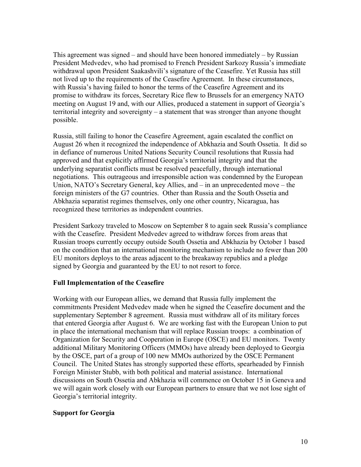This agreement was signed – and should have been honored immediately – by Russian President Medvedev, who had promised to French President Sarkozy Russia's immediate withdrawal upon President Saakashvili's signature of the Ceasefire. Yet Russia has still not lived up to the requirements of the Ceasefire Agreement. In these circumstances, with Russia's having failed to honor the terms of the Ceasefire Agreement and its promise to withdraw its forces, Secretary Rice flew to Brussels for an emergency NATO meeting on August 19 and, with our Allies, produced a statement in support of Georgia's territorial integrity and sovereignty – a statement that was stronger than anyone thought possible.

Russia, still failing to honor the Ceasefire Agreement, again escalated the conflict on August 26 when it recognized the independence of Abkhazia and South Ossetia. It did so in defiance of numerous United Nations Security Council resolutions that Russia had approved and that explicitly affirmed Georgia's territorial integrity and that the underlying separatist conflicts must be resolved peacefully, through international negotiations. This outrageous and irresponsible action was condemned by the European Union, NATO's Secretary General, key Allies, and – in an unprecedented move – the foreign ministers of the G7 countries. Other than Russia and the South Ossetia and Abkhazia separatist regimes themselves, only one other country, Nicaragua, has recognized these territories as independent countries.

President Sarkozy traveled to Moscow on September 8 to again seek Russia's compliance with the Ceasefire. President Medvedev agreed to withdraw forces from areas that Russian troops currently occupy outside South Ossetia and Abkhazia by October 1 based on the condition that an international monitoring mechanism to include no fewer than 200 EU monitors deploys to the areas adjacent to the breakaway republics and a pledge signed by Georgia and guaranteed by the EU to not resort to force.

# **Full Implementation of the Ceasefire**

Working with our European allies, we demand that Russia fully implement the commitments President Medvedev made when he signed the Ceasefire document and the supplementary September 8 agreement. Russia must withdraw all of its military forces that entered Georgia after August 6. We are working fast with the European Union to put in place the international mechanism that will replace Russian troops: a combination of Organization for Security and Cooperation in Europe (OSCE) and EU monitors. Twenty additional Military Monitoring Officers (MMOs) have already been deployed to Georgia by the OSCE, part of a group of 100 new MMOs authorized by the OSCE Permanent Council. The United States has strongly supported these efforts, spearheaded by Finnish Foreign Minister Stubb, with both political and material assistance. International discussions on South Ossetia and Abkhazia will commence on October 15 in Geneva and we will again work closely with our European partners to ensure that we not lose sight of Georgia's territorial integrity.

#### **Support for Georgia**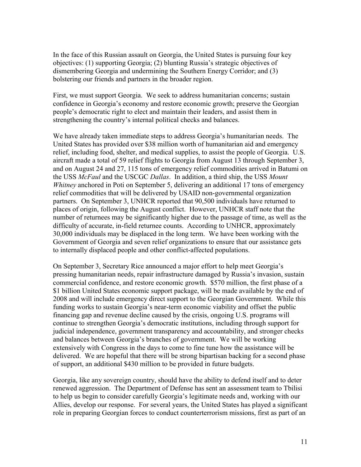In the face of this Russian assault on Georgia, the United States is pursuing four key objectives: (1) supporting Georgia; (2) blunting Russia's strategic objectives of dismembering Georgia and undermining the Southern Energy Corridor; and (3) bolstering our friends and partners in the broader region.

First, we must support Georgia. We seek to address humanitarian concerns; sustain confidence in Georgia's economy and restore economic growth; preserve the Georgian people's democratic right to elect and maintain their leaders, and assist them in strengthening the country's internal political checks and balances.

We have already taken immediate steps to address Georgia's humanitarian needs. The United States has provided over \$38 million worth of humanitarian aid and emergency relief, including food, shelter, and medical supplies, to assist the people of Georgia. U.S. aircraft made a total of 59 relief flights to Georgia from August 13 through September 3, and on August 24 and 27, 115 tons of emergency relief commodities arrived in Batumi on the USS *McFaul* and the USCGC *Dallas*. In addition, a third ship, the USS *Mount Whitney* anchored in Poti on September 5, delivering an additional 17 tons of emergency relief commodities that will be delivered by USAID non-governmental organization partners. On September 3, UNHCR reported that 90,500 individuals have returned to places of origin, following the August conflict. However, UNHCR staff note that the number of returnees may be significantly higher due to the passage of time, as well as the difficulty of accurate, in-field returnee counts. According to UNHCR, approximately 30,000 individuals may be displaced in the long term. We have been working with the Government of Georgia and seven relief organizations to ensure that our assistance gets to internally displaced people and other conflict-affected populations.

On September 3, Secretary Rice announced a major effort to help meet Georgia's pressing humanitarian needs, repair infrastructure damaged by Russia's invasion, sustain commercial confidence, and restore economic growth. \$570 million, the first phase of a \$1 billion United States economic support package, will be made available by the end of 2008 and will include emergency direct support to the Georgian Government. While this funding works to sustain Georgia's near-term economic viability and offset the public financing gap and revenue decline caused by the crisis, ongoing U.S. programs will continue to strengthen Georgia's democratic institutions, including through support for judicial independence, government transparency and accountability, and stronger checks and balances between Georgia's branches of government. We will be working extensively with Congress in the days to come to fine tune how the assistance will be delivered. We are hopeful that there will be strong bipartisan backing for a second phase of support, an additional \$430 million to be provided in future budgets.

Georgia, like any sovereign country, should have the ability to defend itself and to deter renewed aggression. The Department of Defense has sent an assessment team to Tbilisi to help us begin to consider carefully Georgia's legitimate needs and, working with our Allies, develop our response. For several years, the United States has played a significant role in preparing Georgian forces to conduct counterterrorism missions, first as part of an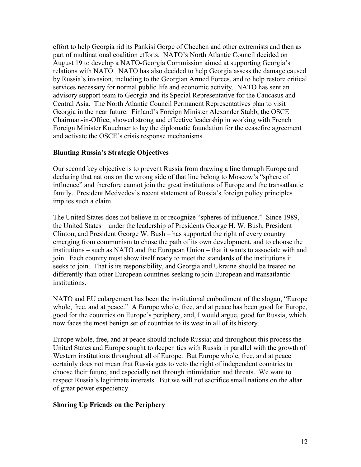effort to help Georgia rid its Pankisi Gorge of Chechen and other extremists and then as part of multinational coalition efforts. NATO's North Atlantic Council decided on August 19 to develop a NATO-Georgia Commission aimed at supporting Georgia's relations with NATO. NATO has also decided to help Georgia assess the damage caused by Russia's invasion, including to the Georgian Armed Forces, and to help restore critical services necessary for normal public life and economic activity. NATO has sent an advisory support team to Georgia and its Special Representative for the Caucasus and Central Asia. The North Atlantic Council Permanent Representatives plan to visit Georgia in the near future. Finland's Foreign Minister Alexander Stubb, the OSCE Chairman-in-Office, showed strong and effective leadership in working with French Foreign Minister Kouchner to lay the diplomatic foundation for the ceasefire agreement and activate the OSCE's crisis response mechanisms.

# **Blunting Russia's Strategic Objectives**

Our second key objective is to prevent Russia from drawing a line through Europe and declaring that nations on the wrong side of that line belong to Moscow's "sphere of influence" and therefore cannot join the great institutions of Europe and the transatlantic family. President Medvedev's recent statement of Russia's foreign policy principles implies such a claim.

The United States does not believe in or recognize "spheres of influence." Since 1989, the United States – under the leadership of Presidents George H. W. Bush, President Clinton, and President George W. Bush – has supported the right of every country emerging from communism to chose the path of its own development, and to choose the institutions – such as NATO and the European Union – that it wants to associate with and join. Each country must show itself ready to meet the standards of the institutions it seeks to join. That is its responsibility, and Georgia and Ukraine should be treated no differently than other European countries seeking to join European and transatlantic institutions.

NATO and EU enlargement has been the institutional embodiment of the slogan, "Europe whole, free, and at peace." A Europe whole, free, and at peace has been good for Europe, good for the countries on Europe's periphery, and, I would argue, good for Russia, which now faces the most benign set of countries to its west in all of its history.

Europe whole, free, and at peace should include Russia; and throughout this process the United States and Europe sought to deepen ties with Russia in parallel with the growth of Western institutions throughout all of Europe. But Europe whole, free, and at peace certainly does not mean that Russia gets to veto the right of independent countries to choose their future, and especially not through intimidation and threats. We want to respect Russia's legitimate interests. But we will not sacrifice small nations on the altar of great power expediency.

# **Shoring Up Friends on the Periphery**